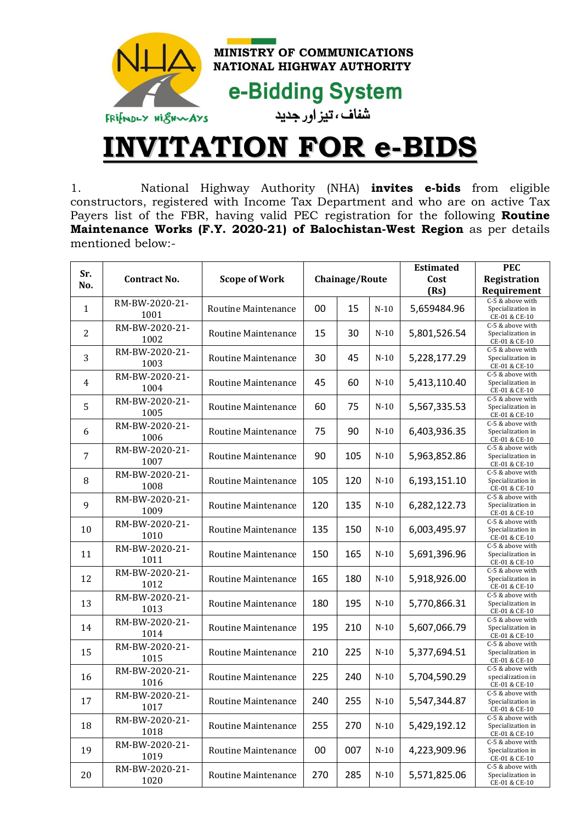

## **INVITATION FOR e-BIDS**

1. National Highway Authority (NHA) **invites e-bids** from eligible constructors, registered with Income Tax Department and who are on active Tax Payers list of the FBR, having valid PEC registration for the following **Routine Maintenance Works (F.Y. 2020-21) of Balochistan-West Region** as per details mentioned below:-

| Sr.<br>No.   | Contract No.           | <b>Scope of Work</b>       | Chainage/Route |     |        | <b>Estimated</b><br>Cost | <b>PEC</b><br>Registration                             |
|--------------|------------------------|----------------------------|----------------|-----|--------|--------------------------|--------------------------------------------------------|
|              |                        |                            |                |     |        | (Rs)                     | Requirement                                            |
| $\mathbf{1}$ | RM-BW-2020-21-<br>1001 | Routine Maintenance        | 00             | 15  | $N-10$ | 5,659484.96              | C-5 & above with<br>Specialization in<br>CE-01 & CE-10 |
| 2            | RM-BW-2020-21-<br>1002 | <b>Routine Maintenance</b> | 15             | 30  | $N-10$ | 5,801,526.54             | C-5 & above with<br>Specialization in<br>CE-01 & CE-10 |
| 3            | RM-BW-2020-21-<br>1003 | Routine Maintenance        | 30             | 45  | $N-10$ | 5,228,177.29             | C-5 & above with<br>Specialization in<br>CE-01 & CE-10 |
| 4            | RM-BW-2020-21-<br>1004 | Routine Maintenance        | 45             | 60  | $N-10$ | 5,413,110.40             | C-5 & above with<br>Specialization in<br>CE-01 & CE-10 |
| 5            | RM-BW-2020-21-<br>1005 | Routine Maintenance        | 60             | 75  | $N-10$ | 5,567,335.53             | C-5 & above with<br>Specialization in<br>CE-01 & CE-10 |
| 6            | RM-BW-2020-21-<br>1006 | <b>Routine Maintenance</b> | 75             | 90  | $N-10$ | 6,403,936.35             | C-5 & above with<br>Specialization in<br>CE-01 & CE-10 |
| 7            | RM-BW-2020-21-<br>1007 | <b>Routine Maintenance</b> | 90             | 105 | $N-10$ | 5,963,852.86             | C-5 & above with<br>Specialization in<br>CE-01 & CE-10 |
| 8            | RM-BW-2020-21-<br>1008 | Routine Maintenance        | 105            | 120 | $N-10$ | 6,193,151.10             | C-5 & above with<br>Specialization in<br>CE-01 & CE-10 |
| 9            | RM-BW-2020-21-<br>1009 | Routine Maintenance        | 120            | 135 | $N-10$ | 6,282,122.73             | C-5 & above with<br>Specialization in<br>CE-01 & CE-10 |
| 10           | RM-BW-2020-21-<br>1010 | Routine Maintenance        | 135            | 150 | $N-10$ | 6,003,495.97             | C-5 & above with<br>Specialization in<br>CE-01 & CE-10 |
| 11           | RM-BW-2020-21-<br>1011 | Routine Maintenance        | 150            | 165 | $N-10$ | 5,691,396.96             | C-5 & above with<br>Specialization in<br>CE-01 & CE-10 |
| 12           | RM-BW-2020-21-<br>1012 | Routine Maintenance        | 165            | 180 | $N-10$ | 5,918,926.00             | C-5 & above with<br>Specialization in<br>CE-01 & CE-10 |
| 13           | RM-BW-2020-21-<br>1013 | Routine Maintenance        | 180            | 195 | $N-10$ | 5,770,866.31             | C-5 & above with<br>Specialization in<br>CE-01 & CE-10 |
| 14           | RM-BW-2020-21-<br>1014 | Routine Maintenance        | 195            | 210 | $N-10$ | 5,607,066.79             | C-5 & above with<br>Specialization in<br>CE-01 & CE-10 |
| 15           | RM-BW-2020-21-<br>1015 | Routine Maintenance        | 210            | 225 | $N-10$ | 5,377,694.51             | C-5 & above with<br>Specialization in<br>CE-01 & CE-10 |
| 16           | RM-BW-2020-21-<br>1016 | Routine Maintenance        | 225            | 240 | $N-10$ | 5,704,590.29             | C-5 & above with<br>specialization in<br>CE-01 & CE-10 |
| 17           | RM-BW-2020-21-<br>1017 | <b>Routine Maintenance</b> | 240            | 255 | $N-10$ | 5,547,344.87             | C-5 & above with<br>Specialization in<br>CE-01 & CE-10 |
| 18           | RM-BW-2020-21-<br>1018 | Routine Maintenance        | 255            | 270 | $N-10$ | 5,429,192.12             | C-5 & above with<br>Specialization in<br>CE-01 & CE-10 |
| 19           | RM-BW-2020-21-<br>1019 | Routine Maintenance        | 00             | 007 | $N-10$ | 4,223,909.96             | C-5 & above with<br>Specialization in<br>CE-01 & CE-10 |
| 20           | RM-BW-2020-21-<br>1020 | Routine Maintenance        | 270            | 285 | $N-10$ | 5,571,825.06             | C-5 & above with<br>Specialization in<br>CE-01 & CE-10 |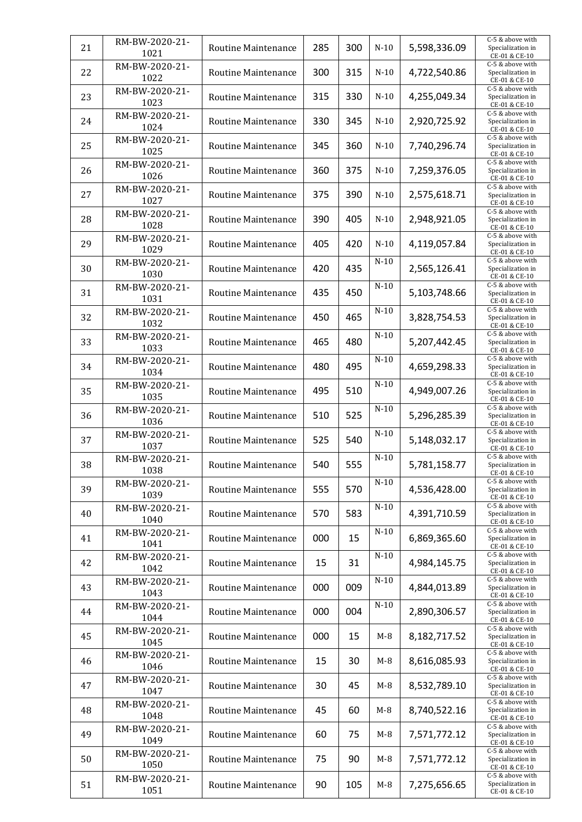| 21 | RM-BW-2020-21-<br>1021 | Routine Maintenance        | 285 | 300 | $N-10$ | 5,598,336.09 | C-5 & above with<br>Specialization in<br>CE-01 & CE-10 |
|----|------------------------|----------------------------|-----|-----|--------|--------------|--------------------------------------------------------|
| 22 | RM-BW-2020-21-<br>1022 | <b>Routine Maintenance</b> | 300 | 315 | $N-10$ | 4,722,540.86 | C-5 & above with<br>Specialization in<br>CE-01 & CE-10 |
| 23 | RM-BW-2020-21-<br>1023 | Routine Maintenance        | 315 | 330 | $N-10$ | 4,255,049.34 | C-5 & above with<br>Specialization in<br>CE-01 & CE-10 |
| 24 | RM-BW-2020-21-<br>1024 | Routine Maintenance        | 330 | 345 | $N-10$ | 2,920,725.92 | C-5 & above with<br>Specialization in<br>CE-01 & CE-10 |
| 25 | RM-BW-2020-21-<br>1025 | Routine Maintenance        | 345 | 360 | $N-10$ | 7,740,296.74 | C-5 & above with<br>Specialization in<br>CE-01 & CE-10 |
| 26 | RM-BW-2020-21-<br>1026 | <b>Routine Maintenance</b> | 360 | 375 | $N-10$ | 7,259,376.05 | C-5 & above with<br>Specialization in<br>CE-01 & CE-10 |
| 27 | RM-BW-2020-21-<br>1027 | Routine Maintenance        | 375 | 390 | $N-10$ | 2,575,618.71 | C-5 & above with<br>Specialization in<br>CE-01 & CE-10 |
| 28 | RM-BW-2020-21-<br>1028 | Routine Maintenance        | 390 | 405 | $N-10$ | 2,948,921.05 | C-5 & above with<br>Specialization in<br>CE-01 & CE-10 |
| 29 | RM-BW-2020-21-<br>1029 | Routine Maintenance        | 405 | 420 | $N-10$ | 4,119,057.84 | C-5 & above with<br>Specialization in<br>CE-01 & CE-10 |
| 30 | RM-BW-2020-21-<br>1030 | <b>Routine Maintenance</b> | 420 | 435 | $N-10$ | 2,565,126.41 | C-5 & above with<br>Specialization in<br>CE-01 & CE-10 |
| 31 | RM-BW-2020-21-<br>1031 | Routine Maintenance        | 435 | 450 | $N-10$ | 5,103,748.66 | C-5 & above with<br>Specialization in<br>CE-01 & CE-10 |
| 32 | RM-BW-2020-21-<br>1032 | <b>Routine Maintenance</b> | 450 | 465 | $N-10$ | 3,828,754.53 | C-5 & above with<br>Specialization in<br>CE-01 & CE-10 |
| 33 | RM-BW-2020-21-<br>1033 | Routine Maintenance        | 465 | 480 | $N-10$ | 5,207,442.45 | C-5 & above with<br>Specialization in<br>CE-01 & CE-10 |
| 34 | RM-BW-2020-21-<br>1034 | Routine Maintenance        | 480 | 495 | $N-10$ | 4,659,298.33 | C-5 & above with<br>Specialization in<br>CE-01 & CE-10 |
| 35 | RM-BW-2020-21-<br>1035 | Routine Maintenance        | 495 | 510 | $N-10$ | 4,949,007.26 | C-5 & above with<br>Specialization in<br>CE-01 & CE-10 |
| 36 | RM-BW-2020-21-<br>1036 | Routine Maintenance        | 510 | 525 | $N-10$ | 5,296,285.39 | C-5 & above with<br>Specialization in<br>CE-01 & CE-10 |
| 37 | RM-BW-2020-21-<br>1037 | Routine Maintenance        | 525 | 540 | $N-10$ | 5,148,032.17 | C-5 & above with<br>Specialization in<br>CE-01 & CE-10 |
| 38 | RM-BW-2020-21-<br>1038 | Routine Maintenance        | 540 | 555 | $N-10$ | 5,781,158.77 | C-5 & above with<br>Specialization in<br>CE-01 & CE-10 |
| 39 | RM-BW-2020-21-<br>1039 | Routine Maintenance        | 555 | 570 | $N-10$ | 4,536,428.00 | C-5 & above with<br>Specialization in<br>CE-01 & CE-10 |
| 40 | RM-BW-2020-21-<br>1040 | Routine Maintenance        | 570 | 583 | $N-10$ | 4,391,710.59 | C-5 & above with<br>Specialization in<br>CE-01 & CE-10 |
| 41 | RM-BW-2020-21-<br>1041 | Routine Maintenance        | 000 | 15  | $N-10$ | 6,869,365.60 | C-5 & above with<br>Specialization in<br>CE-01 & CE-10 |
| 42 | RM-BW-2020-21-<br>1042 | Routine Maintenance        | 15  | 31  | $N-10$ | 4,984,145.75 | C-5 & above with<br>Specialization in<br>CE-01 & CE-10 |
| 43 | RM-BW-2020-21-<br>1043 | Routine Maintenance        | 000 | 009 | $N-10$ | 4,844,013.89 | C-5 & above with<br>Specialization in<br>CE-01 & CE-10 |
| 44 | RM-BW-2020-21-<br>1044 | Routine Maintenance        | 000 | 004 | $N-10$ | 2,890,306.57 | C-5 & above with<br>Specialization in<br>CE-01 & CE-10 |
| 45 | RM-BW-2020-21-<br>1045 | Routine Maintenance        | 000 | 15  | $M-8$  | 8,182,717.52 | C-5 & above with<br>Specialization in<br>CE-01 & CE-10 |
| 46 | RM-BW-2020-21-<br>1046 | Routine Maintenance        | 15  | 30  | $M-8$  | 8,616,085.93 | C-5 & above with<br>Specialization in<br>CE-01 & CE-10 |
| 47 | RM-BW-2020-21-<br>1047 | Routine Maintenance        | 30  | 45  | $M-8$  | 8,532,789.10 | C-5 & above with<br>Specialization in<br>CE-01 & CE-10 |
| 48 | RM-BW-2020-21-<br>1048 | Routine Maintenance        | 45  | 60  | $M-8$  | 8,740,522.16 | C-5 & above with<br>Specialization in<br>CE-01 & CE-10 |
| 49 | RM-BW-2020-21-<br>1049 | Routine Maintenance        | 60  | 75  | $M-8$  | 7,571,772.12 | C-5 & above with<br>Specialization in<br>CE-01 & CE-10 |
| 50 | RM-BW-2020-21-<br>1050 | Routine Maintenance        | 75  | 90  | $M-8$  | 7,571,772.12 | C-5 & above with<br>Specialization in<br>CE-01 & CE-10 |
| 51 | RM-BW-2020-21-<br>1051 | Routine Maintenance        | 90  | 105 | $M-8$  | 7,275,656.65 | C-5 & above with<br>Specialization in<br>CE-01 & CE-10 |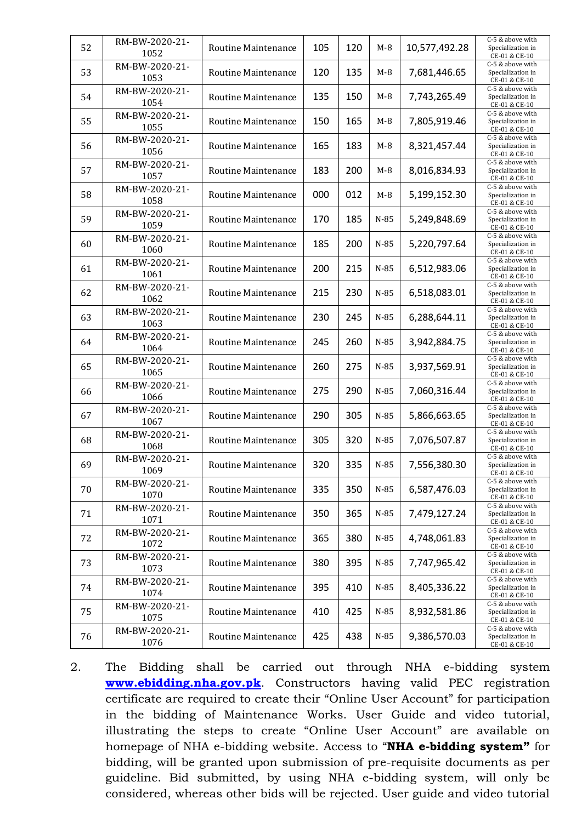| 52 | RM-BW-2020-21-<br>1052 | Routine Maintenance        | 105 | 120 | $M-8$  | 10,577,492.28 | C-5 & above with<br>Specialization in<br>CE-01 & CE-10 |
|----|------------------------|----------------------------|-----|-----|--------|---------------|--------------------------------------------------------|
| 53 | RM-BW-2020-21-<br>1053 | Routine Maintenance        | 120 | 135 | $M-8$  | 7,681,446.65  | C-5 & above with<br>Specialization in<br>CE-01 & CE-10 |
| 54 | RM-BW-2020-21-<br>1054 | <b>Routine Maintenance</b> | 135 | 150 | $M-8$  | 7,743,265.49  | C-5 & above with<br>Specialization in<br>CE-01 & CE-10 |
| 55 | RM-BW-2020-21-<br>1055 | Routine Maintenance        | 150 | 165 | $M-8$  | 7,805,919.46  | C-5 & above with<br>Specialization in<br>CE-01 & CE-10 |
| 56 | RM-BW-2020-21-<br>1056 | Routine Maintenance        | 165 | 183 | $M-8$  | 8,321,457.44  | C-5 & above with<br>Specialization in<br>CE-01 & CE-10 |
| 57 | RM-BW-2020-21-<br>1057 | Routine Maintenance        | 183 | 200 | $M-8$  | 8,016,834.93  | C-5 & above with<br>Specialization in<br>CE-01 & CE-10 |
| 58 | RM-BW-2020-21-<br>1058 | Routine Maintenance        | 000 | 012 | $M-8$  | 5,199,152.30  | C-5 & above with<br>Specialization in<br>CE-01 & CE-10 |
| 59 | RM-BW-2020-21-<br>1059 | <b>Routine Maintenance</b> | 170 | 185 | $N-85$ | 5,249,848.69  | C-5 & above with<br>Specialization in<br>CE-01 & CE-10 |
| 60 | RM-BW-2020-21-<br>1060 | Routine Maintenance        | 185 | 200 | $N-85$ | 5,220,797.64  | C-5 & above with<br>Specialization in<br>CE-01 & CE-10 |
| 61 | RM-BW-2020-21-<br>1061 | Routine Maintenance        | 200 | 215 | $N-85$ | 6,512,983.06  | C-5 & above with<br>Specialization in<br>CE-01 & CE-10 |
| 62 | RM-BW-2020-21-<br>1062 | <b>Routine Maintenance</b> | 215 | 230 | $N-85$ | 6,518,083.01  | C-5 & above with<br>Specialization in<br>CE-01 & CE-10 |
| 63 | RM-BW-2020-21-<br>1063 | <b>Routine Maintenance</b> | 230 | 245 | $N-85$ | 6,288,644.11  | C-5 & above with<br>Specialization in<br>CE-01 & CE-10 |
| 64 | RM-BW-2020-21-<br>1064 | Routine Maintenance        | 245 | 260 | $N-85$ | 3,942,884.75  | C-5 & above with<br>Specialization in<br>CE-01 & CE-10 |
| 65 | RM-BW-2020-21-<br>1065 | Routine Maintenance        | 260 | 275 | $N-85$ | 3,937,569.91  | C-5 & above with<br>Specialization in<br>CE-01 & CE-10 |
| 66 | RM-BW-2020-21-<br>1066 | Routine Maintenance        | 275 | 290 | $N-85$ | 7,060,316.44  | C-5 & above with<br>Specialization in<br>CE-01 & CE-10 |
| 67 | RM-BW-2020-21-<br>1067 | Routine Maintenance        | 290 | 305 | $N-85$ | 5,866,663.65  | C-5 & above with<br>Specialization in<br>CE-01 & CE-10 |
| 68 | RM-BW-2020-21-<br>1068 | Routine Maintenance        | 305 | 320 | $N-85$ | 7,076,507.87  | C-5 & above with<br>Specialization in<br>CE-01 & CE-10 |
| 69 | RM-BW-2020-21-<br>1069 | <b>Routine Maintenance</b> | 320 | 335 | $N-85$ | 7,556,380.30  | C-5 & above with<br>Specialization in<br>CE-01 & CE-10 |
| 70 | RM-BW-2020-21-<br>1070 | Routine Maintenance        | 335 | 350 | $N-85$ | 6,587,476.03  | C-5 & above with<br>Specialization in<br>CE-01 & CE-10 |
| 71 | RM-BW-2020-21-<br>1071 | Routine Maintenance        | 350 | 365 | $N-85$ | 7,479,127.24  | C-5 & above with<br>Specialization in<br>CE-01 & CE-10 |
| 72 | RM-BW-2020-21-<br>1072 | Routine Maintenance        | 365 | 380 | $N-85$ | 4,748,061.83  | C-5 & above with<br>Specialization in<br>CE-01 & CE-10 |
| 73 | RM-BW-2020-21-<br>1073 | Routine Maintenance        | 380 | 395 | $N-85$ | 7,747,965.42  | C-5 & above with<br>Specialization in<br>CE-01 & CE-10 |
| 74 | RM-BW-2020-21-<br>1074 | Routine Maintenance        | 395 | 410 | $N-85$ | 8,405,336.22  | C-5 & above with<br>Specialization in<br>CE-01 & CE-10 |
| 75 | RM-BW-2020-21-<br>1075 | Routine Maintenance        | 410 | 425 | $N-85$ | 8,932,581.86  | C-5 & above with<br>Specialization in<br>CE-01 & CE-10 |
| 76 | RM-BW-2020-21-<br>1076 | Routine Maintenance        | 425 | 438 | $N-85$ | 9,386,570.03  | C-5 & above with<br>Specialization in<br>CE-01 & CE-10 |

2. The Bidding shall be carried out through NHA e-bidding system **[www.ebidding.nha.gov.pk](http://www.ebidding.nha.gov.pk/)**. Constructors having valid PEC registration certificate are required to create their "Online User Account" for participation in the bidding of Maintenance Works. User Guide and video tutorial, illustrating the steps to create "Online User Account" are available on homepage of NHA e-bidding website. Access to "**NHA e-bidding system"** for bidding, will be granted upon submission of pre-requisite documents as per guideline. Bid submitted, by using NHA e-bidding system, will only be considered, whereas other bids will be rejected. User guide and video tutorial